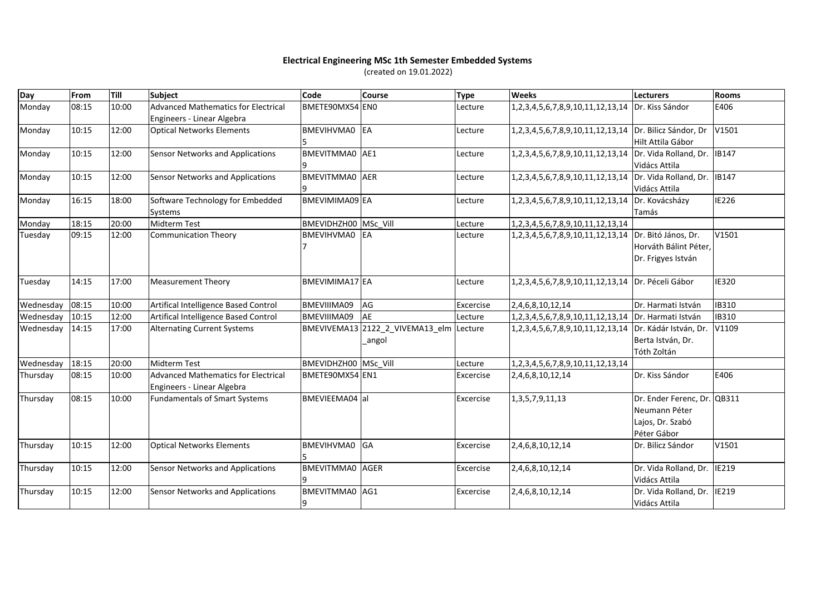## **Electrical Engineering MSc 1th Semester Embedded Systems**

(created on 19.01.2022)

| Day       | From  | Till  | Subject                                                                  | Code                   | <b>Course</b>                   | <b>Type</b> | <b>Weeks</b>                                           | Lecturers                   | Rooms        |
|-----------|-------|-------|--------------------------------------------------------------------------|------------------------|---------------------------------|-------------|--------------------------------------------------------|-----------------------------|--------------|
| Monday    | 08:15 | 10:00 | <b>Advanced Mathematics for Electrical</b><br>Engineers - Linear Algebra | BMETE90MX54 EN0        |                                 | Lecture     | 1,2,3,4,5,6,7,8,9,10,11,12,13,14 Dr. Kiss Sándor       |                             | E406         |
| Monday    | 10:15 | 12:00 | <b>Optical Networks Elements</b>                                         | BMEVIHVMA0 EA          |                                 | Lecture     | 1,2,3,4,5,6,7,8,9,10,11,12,13,14 Dr. Bilicz Sándor, Dr |                             | V1501        |
|           |       |       |                                                                          |                        |                                 |             |                                                        | Hilt Attila Gábor           |              |
| Monday    | 10:15 | 12:00 | Sensor Networks and Applications                                         | BMEVITMMA0 AE1         |                                 | Lecture     | 1,2,3,4,5,6,7,8,9,10,11,12,13,14 Dr. Vida Rolland, Dr. |                             | <b>IB147</b> |
|           |       |       |                                                                          |                        |                                 |             |                                                        | Vidács Attila               |              |
| Monday    | 10:15 | 12:00 | <b>Sensor Networks and Applications</b>                                  | BMEVITMMA0 AER         |                                 | Lecture     | 1,2,3,4,5,6,7,8,9,10,11,12,13,14 Dr. Vida Rolland, Dr. |                             | <b>IB147</b> |
|           |       |       |                                                                          |                        |                                 |             |                                                        | Vidács Attila               |              |
| Monday    | 16:15 | 18:00 | Software Technology for Embedded                                         | BMEVIMIMA09 EA         |                                 | Lecture     | 1,2,3,4,5,6,7,8,9,10,11,12,13,14 Dr. Kovácsházy        |                             | <b>IE226</b> |
|           |       |       | Systems                                                                  |                        |                                 |             |                                                        | Tamás                       |              |
| Monday    | 18:15 | 20:00 | Midterm Test                                                             | BMEVIDHZH00 MSc Vill   |                                 | Lecture     | 1, 2, 3, 4, 5, 6, 7, 8, 9, 10, 11, 12, 13, 14          |                             |              |
| Tuesday   | 09:15 | 12:00 | Communication Theory                                                     | BMEVIHVMA0 EA          |                                 | Lecture     | 1,2,3,4,5,6,7,8,9,10,11,12,13,14 Dr. Bitó János, Dr.   |                             | V1501        |
|           |       |       |                                                                          |                        |                                 |             |                                                        | Horváth Bálint Péter,       |              |
|           |       |       |                                                                          |                        |                                 |             |                                                        | Dr. Frigyes István          |              |
|           |       |       |                                                                          |                        |                                 |             |                                                        |                             |              |
| Tuesday   | 14:15 | 17:00 | <b>Measurement Theory</b>                                                | BMEVIMIMA17 EA         |                                 | Lecture     | 1,2,3,4,5,6,7,8,9,10,11,12,13,14 Dr. Péceli Gábor      |                             | <b>IE320</b> |
| Wednesday | 08:15 | 10:00 | Artifical Intelligence Based Control                                     | BMEVIIIMA09            | AG                              | Excercise   | 2,4,6,8,10,12,14                                       | Dr. Harmati István          | IB310        |
| Wednesday | 10:15 | 12:00 | Artifical Intelligence Based Control                                     | BMEVIIIMA09            | AE                              | Lecture     | 1,2,3,4,5,6,7,8,9,10,11,12,13,14 Dr. Harmati István    |                             | IB310        |
| Wednesday | 14:15 | 17:00 | <b>Alternating Current Systems</b>                                       |                        | BMEVIVEMA13 2122_2_VIVEMA13_elm | Lecture     | 1,2,3,4,5,6,7,8,9,10,11,12,13,14 Dr. Kádár István, Dr. |                             | V1109        |
|           |       |       |                                                                          |                        | angol                           |             |                                                        | Berta István, Dr.           |              |
|           |       |       |                                                                          |                        |                                 |             |                                                        | Tóth Zoltán                 |              |
| Wednesday | 18:15 | 20:00 | <b>Midterm Test</b>                                                      | BMEVIDHZH00 MSc Vill   |                                 | Lecture     | 1, 2, 3, 4, 5, 6, 7, 8, 9, 10, 11, 12, 13, 14          |                             |              |
| Thursday  | 08:15 | 10:00 | Advanced Mathematics for Electrical                                      | BMETE90MX54 EN1        |                                 | Excercise   | 2,4,6,8,10,12,14                                       | Dr. Kiss Sándor             | E406         |
|           |       |       | Engineers - Linear Algebra                                               |                        |                                 |             |                                                        |                             |              |
| Thursday  | 08:15 | 10:00 | Fundamentals of Smart Systems                                            | BMEVIEEMA04 al         |                                 | Excercise   | 1, 3, 5, 7, 9, 11, 13                                  | Dr. Ender Ferenc, Dr. QB311 |              |
|           |       |       |                                                                          |                        |                                 |             |                                                        | Neumann Péter               |              |
|           |       |       |                                                                          |                        |                                 |             |                                                        | Lajos, Dr. Szabó            |              |
|           |       |       |                                                                          |                        |                                 |             |                                                        | Péter Gábor                 |              |
| Thursday  | 10:15 | 12:00 | <b>Optical Networks Elements</b>                                         | BMEVIHVMA0             | <b>GA</b>                       | Excercise   | 2,4,6,8,10,12,14                                       | Dr. Bilicz Sándor           | V1501        |
| Thursday  | 10:15 | 12:00 | Sensor Networks and Applications                                         | <b>BMEVITMMA0</b> AGER |                                 | Excercise   | 2,4,6,8,10,12,14                                       | Dr. Vida Rolland, Dr.       | <b>IE219</b> |
|           |       |       |                                                                          |                        |                                 |             |                                                        | Vidács Attila               |              |
| Thursday  | 10:15 | 12:00 | Sensor Networks and Applications                                         | BMEVITMMA0 AG1         |                                 | Excercise   | 2,4,6,8,10,12,14                                       | Dr. Vida Rolland, Dr.       | <b>IE219</b> |
|           |       |       |                                                                          | 9                      |                                 |             |                                                        | Vidács Attila               |              |